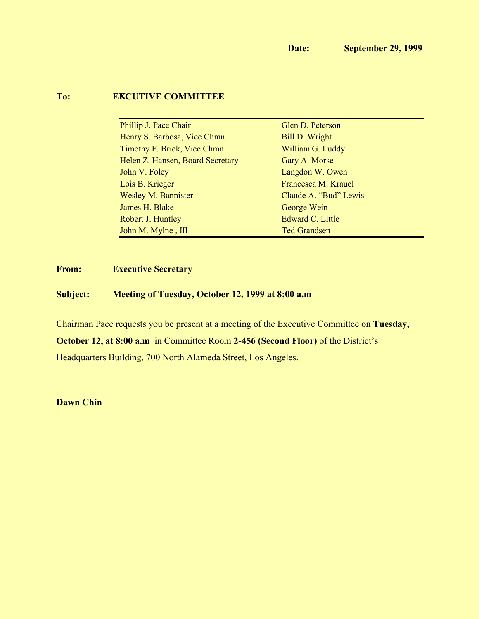# **To: <b>EXCUTIVE COMMITTEE**

| Phillip J. Pace Chair            | Glen D. Peterson      |
|----------------------------------|-----------------------|
| Henry S. Barbosa, Vice Chmn.     | <b>Bill D. Wright</b> |
| Timothy F. Brick, Vice Chmn.     | William G. Luddy      |
| Helen Z. Hansen, Board Secretary | Gary A. Morse         |
| John V. Foley                    | Langdon W. Owen       |
| Lois B. Krieger                  | Francesca M. Krauel   |
| <b>Wesley M. Bannister</b>       | Claude A. "Bud" Lewis |
| James H. Blake                   | George Wein           |
| Robert J. Huntley                | Edward C. Little      |
| John M. Mylne, III               | <b>Ted Grandsen</b>   |

# **From: Executive Secretary**

## **Subject: Meeting of Tuesday, October 12, 1999 at 8:00 a.m.**

Chairman Pace requests you be present at a meeting of the Executive Committee on **Tuesday,**

**October 12, at 8:00 a.m.** in Committee Room **2-456 (Second Floor)** of the District's

Headquarters Building, 700 North Alameda Street, Los Angeles.

**Dawn Chin**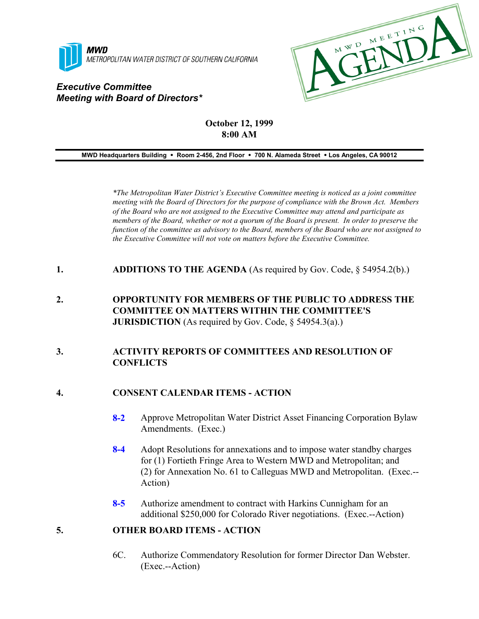

# *Executive Committee Meeting with Board of Directors\**



# **October 12, 1999 8:00 AM**

#### **MWD Headquarters Building** ! **Room 2-456, 2nd Floor** ! **700 N. Alameda Street** ! **Los Angeles, CA 90012**

*\*The Metropolitan Water District's Executive Committee meeting is noticed as a joint committee meeting with the Board of Directors for the purpose of compliance with the Brown Act. Members of the Board who are not assigned to the Executive Committee may attend and participate as members of the Board, whether or not a quorum of the Board is present. In order to preserve the function of the committee as advisory to the Board, members of the Board who are not assigned to the Executive Committee will not vote on matters before the Executive Committee.*

- **1. ADDITIONS TO THE AGENDA** (As required by Gov. Code, § 54954.2(b).)
- **2. OPPORTUNITY FOR MEMBERS OF THE PUBLIC TO ADDRESS THE COMMITTEE ON MATTERS WITHIN THE COMMITTEE'S JURISDICTION** (As required by Gov. Code, § 54954.3(a).)

## **3. ACTIVITY REPORTS OF COMMITTEES AND RESOLUTION OF CONFLICTS**

#### **4. CONSENT CALENDAR ITEMS - ACTION**

- **8-2** Approve Metropolitan Water District Asset Financing Corporation Bylaw Amendments. (Exec.)
- **8-4** Adopt Resolutions for annexations and to impose water standby charges for (1) Fortieth Fringe Area to Western MWD and Metropolitan; and (2) for Annexation No. 61 to Calleguas MWD and Metropolitan. (Exec.-- Action)
- **8-5** Authorize amendment to contract with Harkins Cunnigham for an additional \$250,000 for Colorado River negotiations. (Exec.--Action)

#### **5. OTHER BOARD ITEMS - ACTION**

6C. Authorize Commendatory Resolution for former Director Dan Webster. (Exec.--Action)